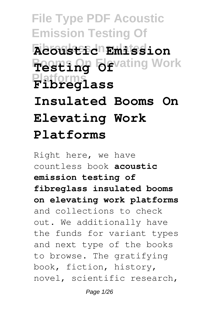**File Type PDF Acoustic Emission Testing Of Fibreglass Insulated Acoustic Emission Besting Of** vating Work **Platforms Fibreglass Insulated Booms On Elevating Work Platforms**

Right here, we have countless book **acoustic emission testing of fibreglass insulated booms on elevating work platforms** and collections to check out. We additionally have the funds for variant types and next type of the books to browse. The gratifying book, fiction, history, novel, scientific research,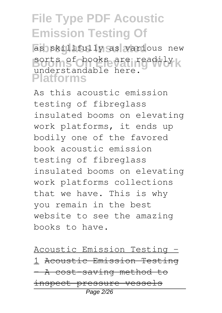as skillfully as various new sorts of books are readily **Platforms** understandable here.

As this acoustic emission testing of fibreglass insulated booms on elevating work platforms, it ends up bodily one of the favored book acoustic emission testing of fibreglass insulated booms on elevating work platforms collections that we have. This is why you remain in the best website to see the amazing books to have.

Acoustic Emission Testing - 1 Acoustic Emission Testing – A cost-saving method to inspect pressure vessels Page 2/26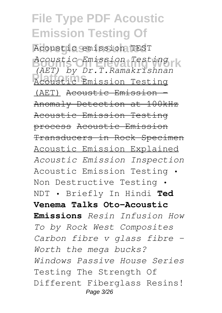**Fibreglass Insulated** Acoustic emission TEST **Booms On Elevating Work** *Acoustic Emission Testing* **Platforms** Acoustic Emission Testing *(AET) by Dr.T.Ramakrishnan* (AET) Acoustic Emission - Anomaly Detection at 100kHz Acoustic Emission Testing process Acoustic Emission Transducers in Rock Specimen Acoustic Emission Explained *Acoustic Emission Inspection* Acoustic Emission Testing • Non Destructive Testing • NDT • Briefly In Hindi **Ted Venema Talks Oto-Acoustic Emissions** *Resin Infusion How To by Rock West Composites Carbon fibre v glass fibre - Worth the mega bucks? Windows Passive House Series* Testing The Strength Of Different Fiberglass Resins! Page 3/26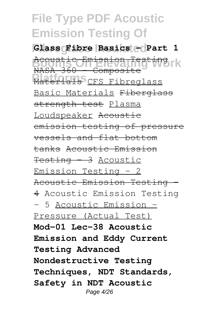**Glass Fibre Basics - Part 1 Boomtic Emission Testing rk Platerials** CFS Fibreglass NASA 360 - Composite Basic Materials Fiberglass strength test Plasma Loudspeaker Acoustic emission testing of pressure vessels and flat bottom tanks Acoustic Emission Testing - 3 Acoustic Emission Testing - 2 Acoustic Emission Testing - 4 Acoustic Emission Testing - 5 Acoustic Emission - Pressure (Actual Test) **Mod-01 Lec-38 Acoustic Emission and Eddy Current Testing Advanced Nondestructive Testing Techniques, NDT Standards, Safety in NDT Acoustic** Page 4/26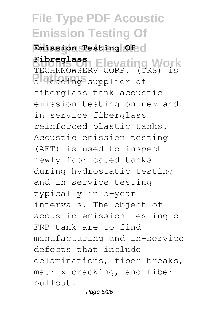**Fibreglass Insulated Emission Testing Of Booms On Elevating Work Fibreglass Platforms** and the supplier of TECHKNOWSERV CORP. (TKS) is fiberglass tank acoustic emission testing on new and in-service fiberglass reinforced plastic tanks. Acoustic emission testing

(AET) is used to inspect newly fabricated tanks during hydrostatic testing and in-service testing typically in 5-year intervals. The object of acoustic emission testing of FRP tank are to find manufacturing and in-service defects that include delaminations, fiber breaks, matrix cracking, and fiber pullout.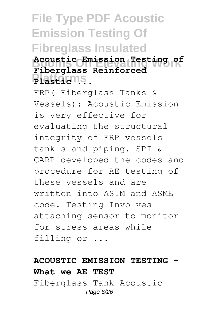### **File Type PDF Acoustic Emission Testing Of Fibreglass Insulated Booms On Elevating Work Acoustic Emission Testing of Platforms Plastic ... Fiberglass Reinforced**

FRP( Fiberglass Tanks & Vessels): Acoustic Emission is very effective for evaluating the structural integrity of FRP vessels tank s and piping. SPI & CARP developed the codes and procedure for AE testing of these vessels and are written into ASTM and ASME code. Testing Involves attaching sensor to monitor for stress areas while filling or ...

### **ACOUSTIC EMISSION TESTING - What we AE TEST**

Fiberglass Tank Acoustic Page 6/26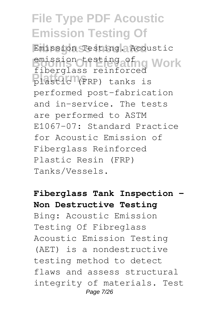**Fibreglass Insulated** Emission Testing. Acoustic emission testing afng Work plastic<sup>(</sup>(FRP) tanks is fiberglass reinforced performed post-fabrication and in-service. The tests are performed to ASTM E1067-07: Standard Practice for Acoustic Emission of Fiberglass Reinforced Plastic Resin (FRP) Tanks/Vessels.

**Fiberglass Tank Inspection - Non Destructive Testing** Bing: Acoustic Emission Testing Of Fibreglass Acoustic Emission Testing (AET) is a nondestructive testing method to detect flaws and assess structural integrity of materials. Test Page 7/26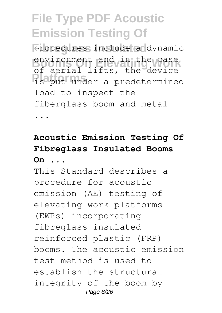procedures include a dynamic environment and in the case **Platforms** is put under a predetermined of aerial lifts, the device load to inspect the fiberglass boom and metal

...

### **Acoustic Emission Testing Of Fibreglass Insulated Booms On ...**

This Standard describes a procedure for acoustic emission (AE) testing of elevating work platforms (EWPs) incorporating fibreglass-insulated reinforced plastic (FRP) booms. The acoustic emission test method is used to establish the structural integrity of the boom by Page 8/26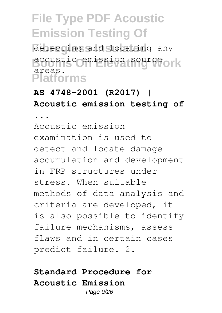detecting and locating any **Booms On Elevating Work** acoustic emission source **Platforms** areas.

### **AS 4748-2001 (R2017) | Acoustic emission testing of**

**...**

Acoustic emission examination is used to detect and locate damage accumulation and development in FRP structures under stress. When suitable methods of data analysis and criteria are developed, it is also possible to identify failure mechanisms, assess flaws and in certain cases predict failure. 2.

### **Standard Procedure for Acoustic Emission**

Page  $9/26$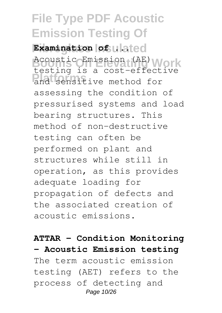Examination of **ulated Booms On Elevating Work** Acoustic Emission (AE) and sensitive method for testing is a cost-effective assessing the condition of pressurised systems and load bearing structures. This method of non-destructive testing can often be performed on plant and structures while still in operation, as this provides adequate loading for propagation of defects and the associated creation of acoustic emissions.

**ATTAR - Condition Monitoring - Acoustic Emission testing** The term acoustic emission testing (AET) refers to the process of detecting and Page 10/26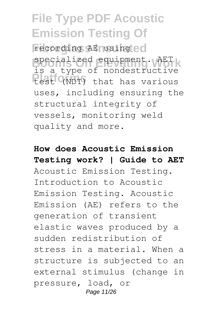recording AE using ed specialized equipment. AET **Platforms** that has various is a type of nondestructive uses, including ensuring the structural integrity of vessels, monitoring weld quality and more.

**How does Acoustic Emission Testing work? | Guide to AET** Acoustic Emission Testing. Introduction to Acoustic Emission Testing. Acoustic Emission (AE) refers to the generation of transient elastic waves produced by a sudden redistribution of stress in a material. When a structure is subjected to an external stimulus (change in pressure, load, or Page 11/26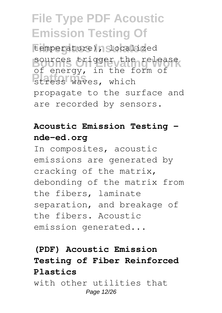temperature), localized sources trigger the release **Platforms Platforms** of energy, in the form of propagate to the surface and are recorded by sensors.

### **Acoustic Emission Testing nde-ed.org**

In composites, acoustic emissions are generated by cracking of the matrix, debonding of the matrix from the fibers, laminate separation, and breakage of the fibers. Acoustic emission generated...

### **(PDF) Acoustic Emission Testing of Fiber Reinforced Plastics**

with other utilities that Page 12/26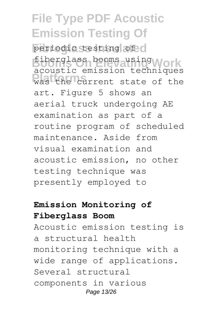periodic testing of c fiberglass booms using Work **Platforms** was the current state of the acoustic emission techniques art. Figure 5 shows an aerial truck undergoing AE examination as part of a routine program of scheduled maintenance. Aside from visual examination and acoustic emission, no other testing technique was presently employed to

#### **Emission Monitoring of Fiberglass Boom**

Acoustic emission testing is a structural health monitoring technique with a wide range of applications. Several structural components in various Page 13/26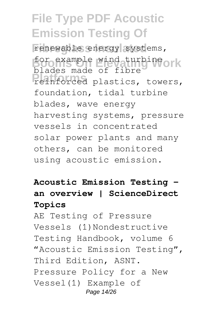renewable energy systems, for example wind turbine ork **Platforms** reinforced plastics, towers, blades made of fibre foundation, tidal turbine blades, wave energy harvesting systems, pressure vessels in concentrated solar power plants and many others, can be monitored using acoustic emission.

### **Acoustic Emission Testing an overview | ScienceDirect Topics**

AE Testing of Pressure Vessels (1)Nondestructive Testing Handbook, volume 6 "Acoustic Emission Testing", Third Edition, ASNT. Pressure Policy for a New Vessel(1) Example of Page 14/26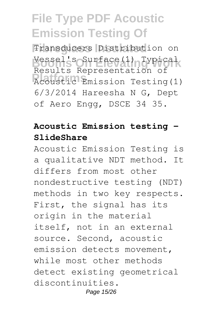Transducers Distribution on **Booms On Elevating Work** Vessel's Surface(1) Typical **Reduction** Testing(1) Results Representation of 6/3/2014 Hareesha N G, Dept of Aero Engg, DSCE 34 35.

#### **Acoustic Emission testing - SlideShare**

Acoustic Emission Testing is a qualitative NDT method. It differs from most other nondestructive testing (NDT) methods in two key respects. First, the signal has its origin in the material itself, not in an external source. Second, acoustic emission detects movement, while most other methods detect existing geometrical discontinuities. Page 15/26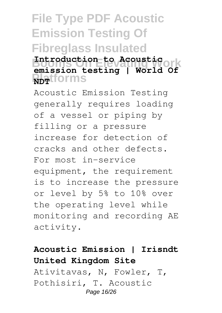### **File Type PDF Acoustic Emission Testing Of Fibreglass Insulated Booms On Elevating Work Introduction to Acoustic RDT**tforms **emission testing | World Of**

Acoustic Emission Testing generally requires loading of a vessel or piping by filling or a pressure increase for detection of cracks and other defects. For most in-service equipment, the requirement is to increase the pressure or level by 5% to 10% over the operating level while monitoring and recording AE activity.

### **Acoustic Emission | Irisndt United Kingdom Site**

Ativitavas, N, Fowler, T, Pothisiri, T. Acoustic Page 16/26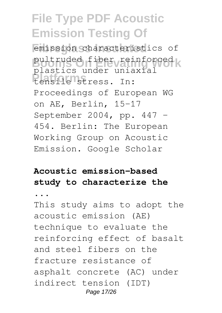emission characteristics of pultruded fiber reinforced k **Platforms** tensile stress. In: plastics under uniaxial Proceedings of European WG on AE, Berlin, 15–17 September 2004, pp. 447 – 454. Berlin: The European Working Group on Acoustic Emission. Google Scholar

### **Acoustic emission-based study to characterize the**

**...**

This study aims to adopt the acoustic emission (AE) technique to evaluate the reinforcing effect of basalt and steel fibers on the fracture resistance of asphalt concrete (AC) under indirect tension (IDT) Page 17/26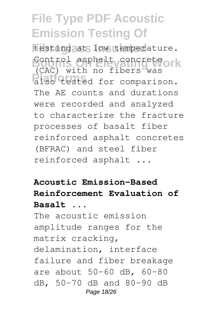testing at low temperature. Control asphalt concrete ork **Platforms** in the serve was (CAC) with no fibers was The AE counts and durations were recorded and analyzed to characterize the fracture processes of basalt fiber reinforced asphalt concretes (BFRAC) and steel fiber reinforced asphalt ...

### **Acoustic Emission-Based Reinforcement Evaluation of Basalt ...**

The acoustic emission amplitude ranges for the matrix cracking, delamination, interface failure and fiber breakage are about 50–60 dB, 60–80 dB, 50–70 dB and 80–90 dB Page 18/26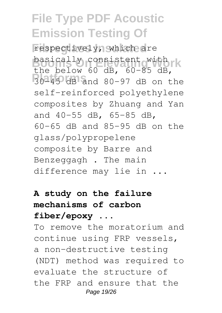respectively, which are basically consistent with rk **Platforms** 30–45 dB and 80–97 dB on the the below 60 dB, 60–85 dB, self-reinforced polyethylene composites by Zhuang and Yan and 40–55 dB, 65–85 dB, 60–65 dB and 85–95 dB on the glass/polypropelene composite by Barre and Benzeggagh . The main difference may lie in ...

### **A study on the failure mechanisms of carbon fiber/epoxy ...**

To remove the moratorium and continue using FRP vessels, a non-destructive testing (NDT) method was required to evaluate the structure of the FRP and ensure that the Page 19/26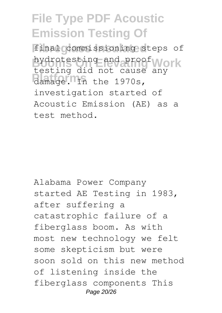final commissioning steps of hydrotesting and proof Work damage. In the 1970s, testing did not cause any investigation started of Acoustic Emission (AE) as a test method.

Alabama Power Company started AE Testing in 1983, after suffering a catastrophic failure of a fiberglass boom. As with most new technology we felt some skepticism but were soon sold on this new method of listening inside the fiberglass components This Page 20/26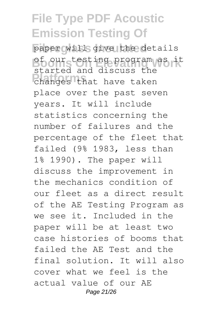paper will give the details **Booms On Elevating Work** of our testing program as it **Platforms** changes that have taken started and discuss the place over the past seven years. It will include statistics concerning the number of failures and the percentage of the fleet that failed (9% 1983, less than 1% 1990). The paper will discuss the improvement in the mechanics condition of our fleet as a direct result of the AE Testing Program as we see it. Included in the paper will be at least two case histories of booms that failed the AE Test and the final solution. It will also cover what we feel is the actual value of our AE Page 21/26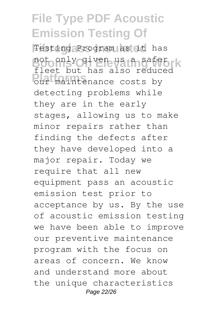Testing Program as it has not only given us a safet k **Platforms** our maintenance costs by fleet but has also reduced detecting problems while they are in the early stages, allowing us to make minor repairs rather than finding the defects after they have developed into a major repair. Today we require that all new equipment pass an acoustic emission test prior to acceptance by us. By the use of acoustic emission testing we have been able to improve our preventive maintenance program with the focus on areas of concern. We know and understand more about the unique characteristics Page 22/26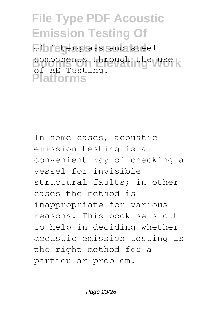of fiberglass and steel components through the use **Platforms** of AE Testing.

In some cases, acoustic emission testing is a convenient way of checking a vessel for invisible structural faults; in other cases the method is inappropriate for various reasons. This book sets out to help in deciding whether acoustic emission testing is the right method for a particular problem.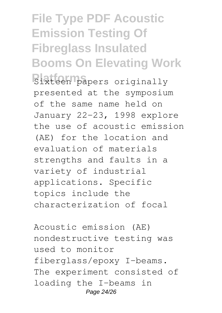# **File Type PDF Acoustic Emission Testing Of Fibreglass Insulated Booms On Elevating Work**

**Sixteen papers originally** presented at the symposium of the same name held on January 22-23, 1998 explore the use of acoustic emission (AE) for the location and evaluation of materials strengths and faults in a variety of industrial applications. Specific topics include the characterization of focal

Acoustic emission (AE) nondestructive testing was used to monitor fiberglass/epoxy I-beams. The experiment consisted of loading the I-beams in Page 24/26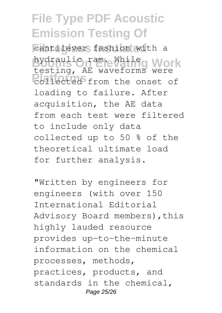cantilever fashion with a **bydraulic ram. While Work Platforms** collected from the onset of testing, AE waveforms were loading to failure. After acquisition, the AE data from each test were filtered to include only data collected up to 50 % of the theoretical ultimate load for further analysis.

"Written by engineers for engineers (with over 150 International Editorial Advisory Board members), this highly lauded resource provides up-to-the-minute information on the chemical processes, methods, practices, products, and standards in the chemical, Page 25/26